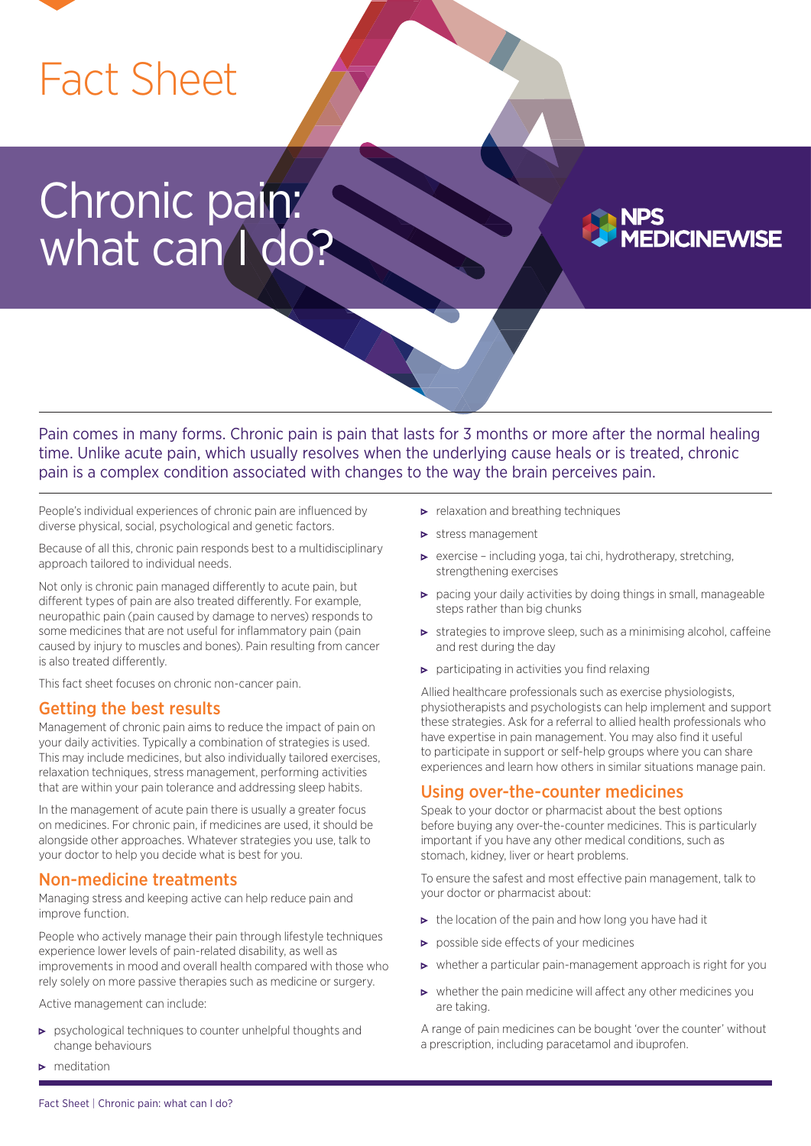

# Chronic pain: what can I do?

Pain comes in many forms. Chronic pain is pain that lasts for 3 months or more after the normal healing time. Unlike acute pain, which usually resolves when the underlying cause heals or is treated, chronic pain is a complex condition associated with changes to the way the brain perceives pain.

People's individual experiences of chronic pain are influenced by diverse physical, social, psychological and genetic factors.

Because of all this, chronic pain responds best to a multidisciplinary approach tailored to individual needs.

Not only is chronic pain managed differently to acute pain, but different types of pain are also treated differently. For example, neuropathic pain (pain caused by damage to nerves) responds to some medicines that are not useful for inflammatory pain (pain caused by injury to muscles and bones). Pain resulting from cancer is also treated differently.

This fact sheet focuses on chronic non-cancer pain.

#### Getting the best results

Management of chronic pain aims to reduce the impact of pain on your daily activities. Typically a combination of strategies is used. This may include medicines, but also individually tailored exercises, relaxation techniques, stress management, performing activities that are within your pain tolerance and addressing sleep habits.

In the management of acute pain there is usually a greater focus on medicines. For chronic pain, if medicines are used, it should be alongside other approaches. Whatever strategies you use, talk to your doctor to help you decide what is best for you.

#### Non-medicine treatments

Managing stress and keeping active can help reduce pain and improve function.

People who actively manage their pain through lifestyle techniques experience lower levels of pain-related disability, as well as improvements in mood and overall health compared with those who rely solely on more passive therapies such as medicine or surgery.

Active management can include:

- psychological techniques to counter unhelpful thoughts and change behaviours
- meditation
- $\blacktriangleright$  relaxation and breathing techniques
- $\triangleright$  stress management
- exercise including yoga, tai chi, hydrotherapy, stretching, strengthening exercises
- $\triangleright$  pacing your daily activities by doing things in small, manageable steps rather than big chunks

**DICINEWISE** 

- strategies to improve sleep, such as a minimising alcohol, caffeine and rest during the day
- $\triangleright$  participating in activities you find relaxing

Allied healthcare professionals such as exercise physiologists, physiotherapists and psychologists can help implement and support these strategies. Ask for a referral to allied health professionals who have expertise in pain management. You may also find it useful to participate in support or self-help groups where you can share experiences and learn how others in similar situations manage pain.

#### Using over-the-counter medicines

Speak to your doctor or pharmacist about the best options before buying any over-the-counter medicines. This is particularly important if you have any other medical conditions, such as stomach, kidney, liver or heart problems.

To ensure the safest and most effective pain management, talk to your doctor or pharmacist about:

- $\triangleright$  the location of the pain and how long you have had it
- **P** possible side effects of your medicines
- $\triangleright$  whether a particular pain-management approach is right for you
- $\triangleright$  whether the pain medicine will affect any other medicines you are taking.
- A range of pain medicines can be bought 'over the counter' without a prescription, including paracetamol and ibuprofen.